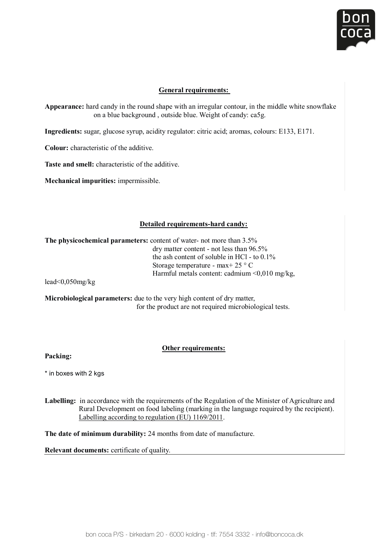

## **General requirements:**

Appearance: hard candy in the round shape with an irregular contour, in the middle white snowflake on a blue background , outside blue. Weight of candy: ca5g.

**Ingredients:** sugar, glucose syrup, acidity regulator: citric acid; aromas, colours: E133, E171. **Appearance:** hard candy in the round shape with an irregular contour, in the middle white snowflake ar, glucose syrup, acidity regulator: citric acid; aromas, coloi

**Colour:** characteristic of the additive.

**Taste and smell:** characteristic of the additive. **Taste and smell:** characteristic of the on a blue background , outside blue blue blue blue. We ight of cases  $\mathcal{L}_{\mathcal{S}}$ 

**Mechanical impurities:** impermissible. **Ingredients:** sugar, glucose syrup, acidity regulator: citric acid; aromas, colours: E133, E171.

#### **Detailed requirements-hard candy:** dry matter content - not less than 96.5% and 96.5% and 96.5% and 96.5% and 96.5% and 96.5% and 96.5% and 96.5%

The physicochemical parameters: content of water- not more than 3.5% dry matter content - not less than 96.5% the ash content of soluble in HCl - to  $0.1\%$ Storage temperature - max + 25 ° C Harmful metals content: cadmium  $\leq 0.010$  mg/kg,

lead<0,050mg/kg

for the product are not required microbiological tests. **Packing: Microbiological parameters:** due to the very high content of dry matter,

#### **Other requirements:**

**Labelling:** in accordance with the requirements of the Regulation of the Regulation of  $\mathcal{L}$ **Packing:** 

 $^*$  in boxes with 2 kgs  $\pm$ j \* in boxes with 2 kgs **and**  $\overline{R}$   $\overline{R}$  and  $\overline{R}$  and  $\overline{R}$  and  $\overline{R}$  and  $\overline{R}$  and  $\overline{R}$  and  $\overline{R}$  and  $\overline{R}$  and  $\overline{R}$  and  $\overline{R}$  and  $\overline{R}$  and  $\overline{R}$  and  $\overline{R}$  and  $\overline{R}$  and  $\over$ 

Rural Development on food labeling (marking in the language required by the recipient). **Labelling:** in accordance with the requirements of the Regulation of the Minister of Agriculture and Labelling according to regulation (EU) 1169/2011.

**The date of minimum durability:** 24 months from date of manufacture.

**Relevant documents:** certificate of quality.